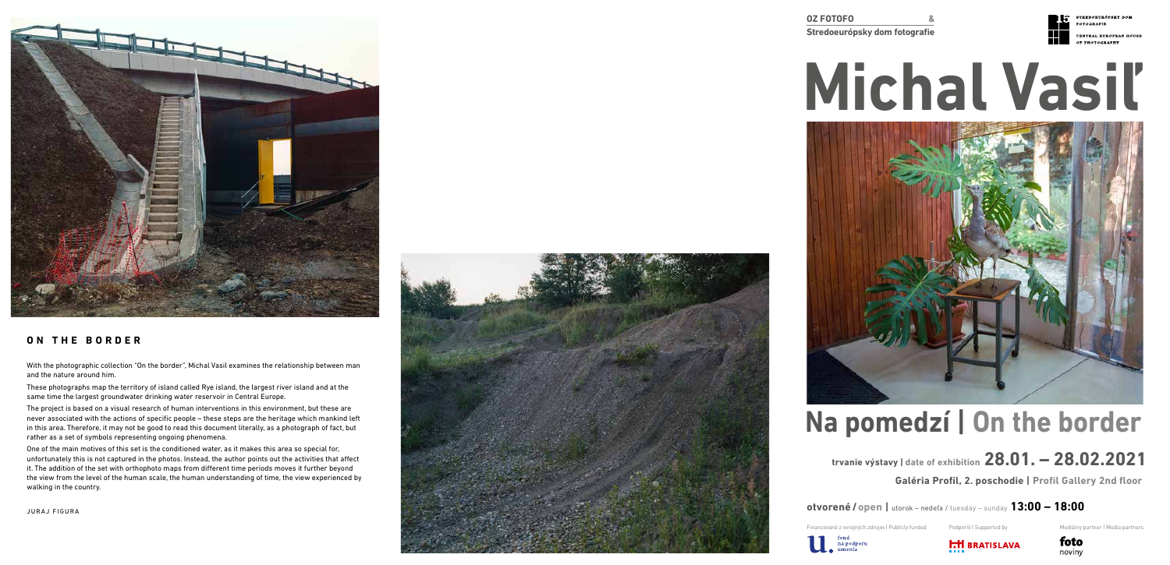**OZ FOTOFO &**



**Stredoeurópsky dom fotografie**



STREDOEURÓPSKY DOM **FOTOGRAFIE** 

CENTRAL EUROPEAN HOUSE OF PHOTOGRAPHY

# **trvanie výstavy | date of exhibition 28.01. – 28.02.2021**

# **Michal Vasiľ**



# **Na pomedzí | On the border**

**Galéria Profil, 2. poschodie | Profil Gallery 2nd floor**

**otvorené / open |** utorok – nedeľa / tuesday – sunday **13:00 – 18:00**



Financované z verejných zdrojov | Publicly funded Podporili | Supported by Mediálny partner | Media partners



### **ON THE BORDER**

With the photographic collection "On the border", Michal Vasil examines the relationship between man and the nature around him.

These photographs map the territory of island called Rye island, the largest river island and at the same time the largest groundwater drinking water reservoir in Central Europe.

The project is based on a visual research of human interventions in this environment, but these are never associated with the actions of specific people – these steps are the heritage which mankind left in this area. Therefore, it may not be good to read this document literally, as a photograph of fact, but rather as a set of symbols representing ongoing phenomena.

One of the main motives of this set is the conditioned water, as it makes this area so special for, unfortunately this is not captured in the photos. Instead, the author points out the activities that affect it. The addition of the set with orthophoto maps from different time periods moves it further beyond the view from the level of the human scale, the human understanding of time, the view experienced by walking in the country.





**tond**<br>na podporu